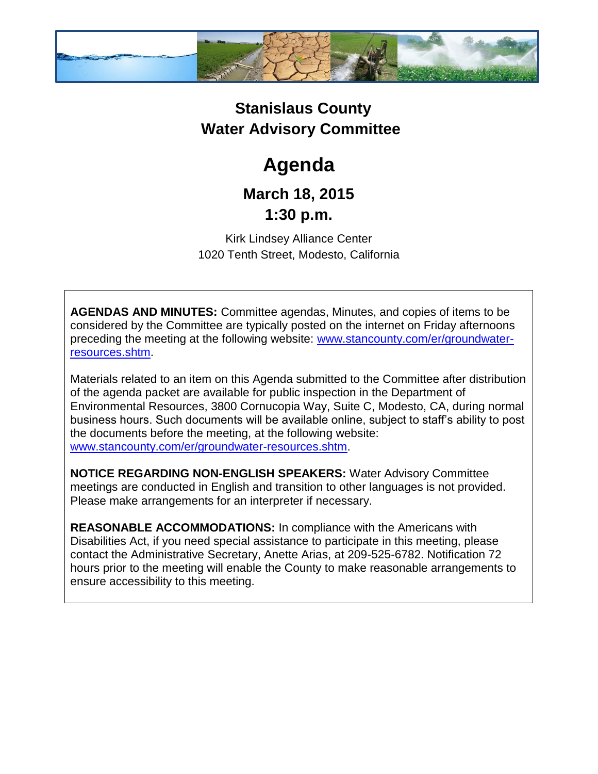

## **Stanislaus County Water Advisory Committee**

# **Agenda**

### **March 18, 2015 1:30 p.m.**

Kirk Lindsey Alliance Center 1020 Tenth Street, Modesto, California

**AGENDAS AND MINUTES:** Committee agendas, Minutes, and copies of items to be considered by the Committee are typically posted on the internet on Friday afternoons preceding the meeting at the following website: [www.stancounty.com/er/groundwater](http://www.stancounty.com/er/groundwater-resources.shtm)[resources.shtm.](http://www.stancounty.com/er/groundwater-resources.shtm)

Materials related to an item on this Agenda submitted to the Committee after distribution of the agenda packet are available for public inspection in the Department of Environmental Resources, 3800 Cornucopia Way, Suite C, Modesto, CA, during normal business hours. Such documents will be available online, subject to staff's ability to post the documents before the meeting, at the following website: [www.stancounty.com/er/groundwater-resources.shtm.](http://www.stancounty.com/er/groundwater-resources.shtm)

**NOTICE REGARDING NON-ENGLISH SPEAKERS:** Water Advisory Committee meetings are conducted in English and transition to other languages is not provided. Please make arrangements for an interpreter if necessary.

**REASONABLE ACCOMMODATIONS:** In compliance with the Americans with Disabilities Act, if you need special assistance to participate in this meeting, please contact the Administrative Secretary, Anette Arias, at 209-525-6782. Notification 72 hours prior to the meeting will enable the County to make reasonable arrangements to ensure accessibility to this meeting.